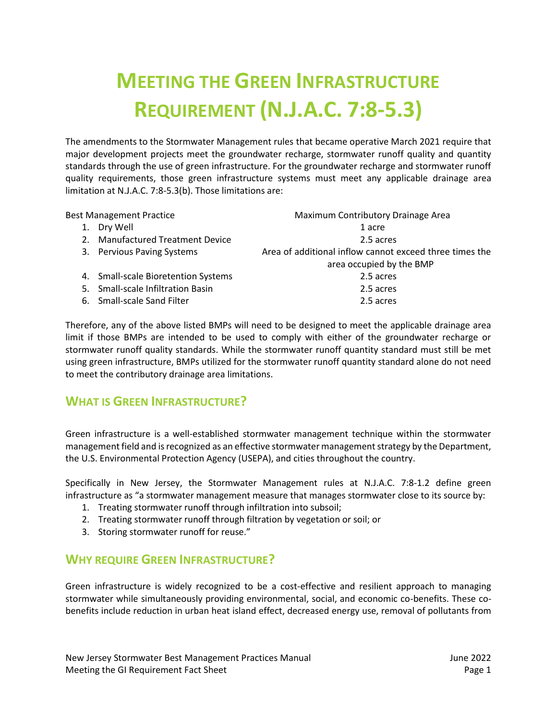# **MEETING THE GREEN INFRASTRUCTURE REQUIREMENT (N.J.A.C. 7:8-5.3)**

The amendments to the Stormwater Management rules that became operative March 2021 require that major development projects meet the groundwater recharge, stormwater runoff quality and quantity standards through the use of green infrastructure. For the groundwater recharge and stormwater runoff quality requirements, those green infrastructure systems must meet any applicable drainage area limitation at N.J.A.C. 7:8-5.3(b). Those limitations are:

| <b>Best Management Practice</b> |                                     | Maximum Contributory Drainage Area                                                  |
|---------------------------------|-------------------------------------|-------------------------------------------------------------------------------------|
|                                 | Dry Well                            | 1 acre                                                                              |
|                                 | 2. Manufactured Treatment Device    | 2.5 acres                                                                           |
|                                 | 3. Pervious Paving Systems          | Area of additional inflow cannot exceed three times the<br>area occupied by the BMP |
|                                 | 4. Small-scale Bioretention Systems | 2.5 acres                                                                           |
|                                 | 5. Small-scale Infiltration Basin   | 2.5 acres                                                                           |
|                                 | 6. Small-scale Sand Filter          | 2.5 acres                                                                           |
|                                 |                                     |                                                                                     |

Therefore, any of the above listed BMPs will need to be designed to meet the applicable drainage area limit if those BMPs are intended to be used to comply with either of the groundwater recharge or stormwater runoff quality standards. While the stormwater runoff quantity standard must still be met using green infrastructure, BMPs utilized for the stormwater runoff quantity standard alone do not need to meet the contributory drainage area limitations.

# **WHAT IS GREEN INFRASTRUCTURE?**

Green infrastructure is a well-established stormwater management technique within the stormwater management field and is recognized as an effective stormwater management strategy by the Department, the U.S. Environmental Protection Agency (USEPA), and cities throughout the country.

Specifically in New Jersey, the Stormwater Management rules at N.J.A.C. 7:8-1.2 define green infrastructure as "a stormwater management measure that manages stormwater close to its source by:

- 1. Treating stormwater runoff through infiltration into subsoil;
- 2. Treating stormwater runoff through filtration by vegetation or soil; or
- 3. Storing stormwater runoff for reuse."

# **WHY REQUIRE GREEN INFRASTRUCTURE?**

Green infrastructure is widely recognized to be a cost-effective and resilient approach to managing stormwater while simultaneously providing environmental, social, and economic co-benefits. These cobenefits include reduction in urban heat island effect, decreased energy use, removal of pollutants from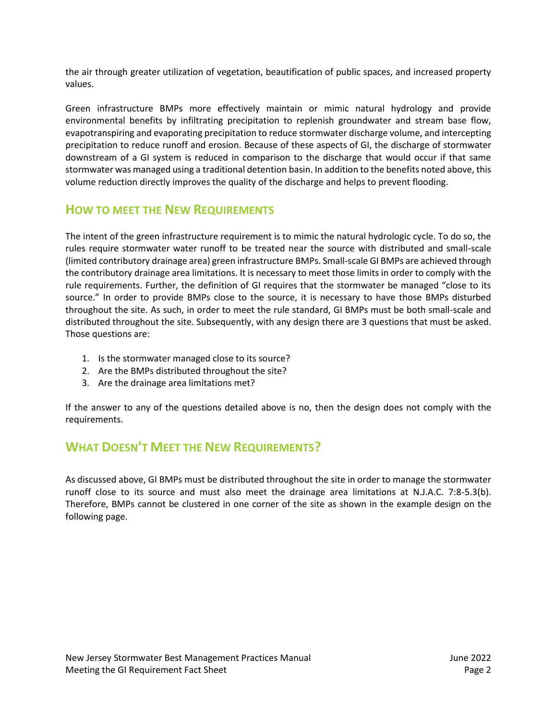the air through greater utilization of vegetation, beautification of public spaces, and increased property values.

Green infrastructure BMPs more effectively maintain or mimic natural hydrology and provide environmental benefits by infiltrating precipitation to replenish groundwater and stream base flow, evapotranspiring and evaporating precipitation to reduce stormwater discharge volume, and intercepting precipitation to reduce runoff and erosion. Because of these aspects of GI, the discharge of stormwater downstream of a GI system is reduced in comparison to the discharge that would occur if that same stormwater was managed using a traditional detention basin. In addition to the benefits noted above, this volume reduction directly improves the quality of the discharge and helps to prevent flooding.

#### **HOW TO MEET THE NEW REQUIREMENTS**

The intent of the green infrastructure requirement is to mimic the natural hydrologic cycle. To do so, the rules require stormwater water runoff to be treated near the source with distributed and small-scale (limited contributory drainage area) green infrastructure BMPs. Small-scale GI BMPs are achieved through the contributory drainage area limitations. It is necessary to meet those limits in order to comply with the rule requirements. Further, the definition of GI requires that the stormwater be managed "close to its source." In order to provide BMPs close to the source, it is necessary to have those BMPs disturbed throughout the site. As such, in order to meet the rule standard, GI BMPs must be both small-scale and distributed throughout the site. Subsequently, with any design there are 3 questions that must be asked. Those questions are:

- 1. Is the stormwater managed close to its source?
- 2. Are the BMPs distributed throughout the site?
- 3. Are the drainage area limitations met?

If the answer to any of the questions detailed above is no, then the design does not comply with the requirements.

# **WHAT DOESN'T MEET THE NEW REQUIREMENTS?**

As discussed above, GI BMPs must be distributed throughout the site in order to manage the stormwater runoff close to its source and must also meet the drainage area limitations at N.J.A.C. 7:8-5.3(b). Therefore, BMPs cannot be clustered in one corner of the site as shown in the example design on the following page.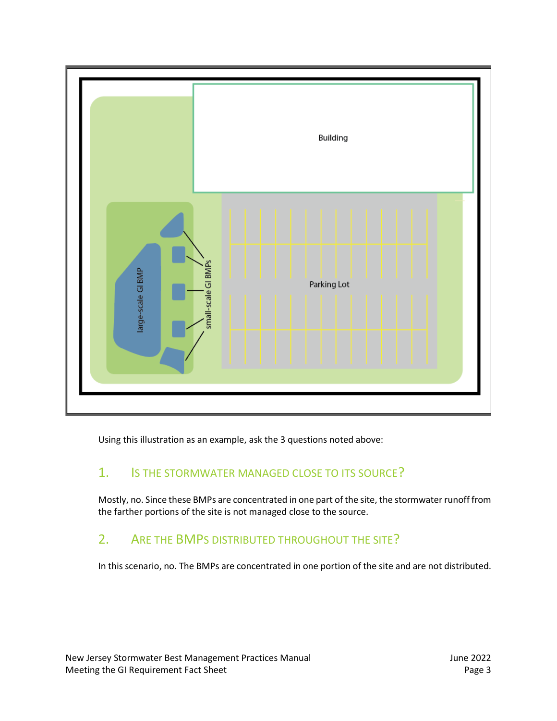

Using this illustration as an example, ask the 3 questions noted above:

# 1. IS THE STORMWATER MANAGED CLOSE TO ITS SOURCE?

Mostly, no. Since these BMPs are concentrated in one part of the site, the stormwater runoff from the farther portions of the site is not managed close to the source.

# 2. ARE THE BMPS DISTRIBUTED THROUGHOUT THE SITE?

In this scenario, no. The BMPs are concentrated in one portion of the site and are not distributed.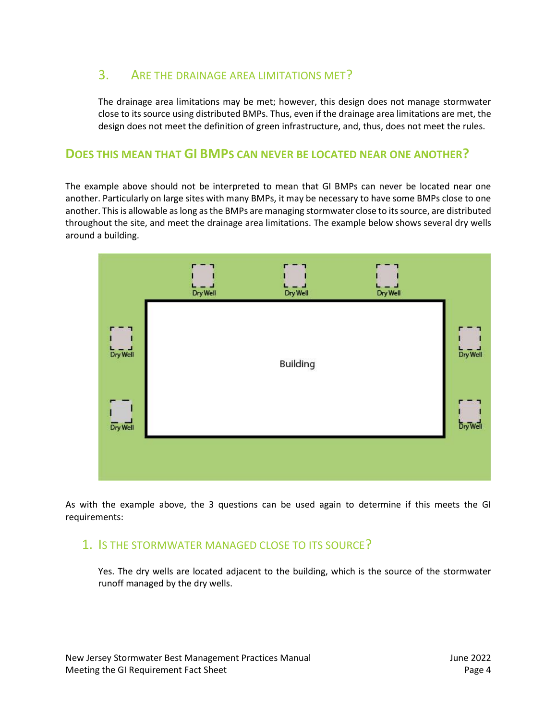# 3. ARE THE DRAINAGE AREA LIMITATIONS MET?

The drainage area limitations may be met; however, this design does not manage stormwater close to its source using distributed BMPs. Thus, even if the drainage area limitations are met, the design does not meet the definition of green infrastructure, and, thus, does not meet the rules.

#### **DOES THIS MEAN THAT GI BMPS CAN NEVER BE LOCATED NEAR ONE ANOTHER?**

The example above should not be interpreted to mean that GI BMPs can never be located near one another. Particularly on large sites with many BMPs, it may be necessary to have some BMPs close to one another. This is allowable as long as the BMPs are managing stormwater close to its source, are distributed throughout the site, and meet the drainage area limitations. The example below shows several dry wells around a building.



As with the example above, the 3 questions can be used again to determine if this meets the GI requirements:

#### 1. IS THE STORMWATER MANAGED CLOSE TO ITS SOURCE?

Yes. The dry wells are located adjacent to the building, which is the source of the stormwater runoff managed by the dry wells.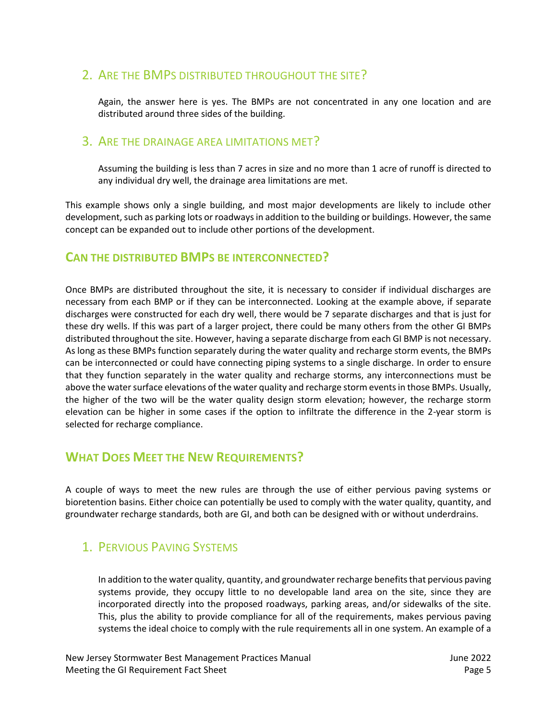# 2. ARE THE BMPS DISTRIBUTED THROUGHOUT THE SITE?

Again, the answer here is yes. The BMPs are not concentrated in any one location and are distributed around three sides of the building.

#### 3. ARE THE DRAINAGE AREA LIMITATIONS MET?

Assuming the building is less than 7 acres in size and no more than 1 acre of runoff is directed to any individual dry well, the drainage area limitations are met.

This example shows only a single building, and most major developments are likely to include other development, such as parking lots or roadways in addition to the building or buildings. However, the same concept can be expanded out to include other portions of the development.

#### **CAN THE DISTRIBUTED BMPS BE INTERCONNECTED?**

Once BMPs are distributed throughout the site, it is necessary to consider if individual discharges are necessary from each BMP or if they can be interconnected. Looking at the example above, if separate discharges were constructed for each dry well, there would be 7 separate discharges and that is just for these dry wells. If this was part of a larger project, there could be many others from the other GI BMPs distributed throughout the site. However, having a separate discharge from each GI BMP is not necessary. As long as these BMPs function separately during the water quality and recharge storm events, the BMPs can be interconnected or could have connecting piping systems to a single discharge. In order to ensure that they function separately in the water quality and recharge storms, any interconnections must be above the water surface elevations of the water quality and recharge storm eventsin those BMPs. Usually, the higher of the two will be the water quality design storm elevation; however, the recharge storm elevation can be higher in some cases if the option to infiltrate the difference in the 2-year storm is selected for recharge compliance.

# **WHAT DOES MEET THE NEW REQUIREMENTS?**

A couple of ways to meet the new rules are through the use of either pervious paving systems or bioretention basins. Either choice can potentially be used to comply with the water quality, quantity, and groundwater recharge standards, both are GI, and both can be designed with or without underdrains.

# 1. PERVIOUS PAVING SYSTEMS

In addition to the water quality, quantity, and groundwater recharge benefits that pervious paving systems provide, they occupy little to no developable land area on the site, since they are incorporated directly into the proposed roadways, parking areas, and/or sidewalks of the site. This, plus the ability to provide compliance for all of the requirements, makes pervious paving systems the ideal choice to comply with the rule requirements all in one system. An example of a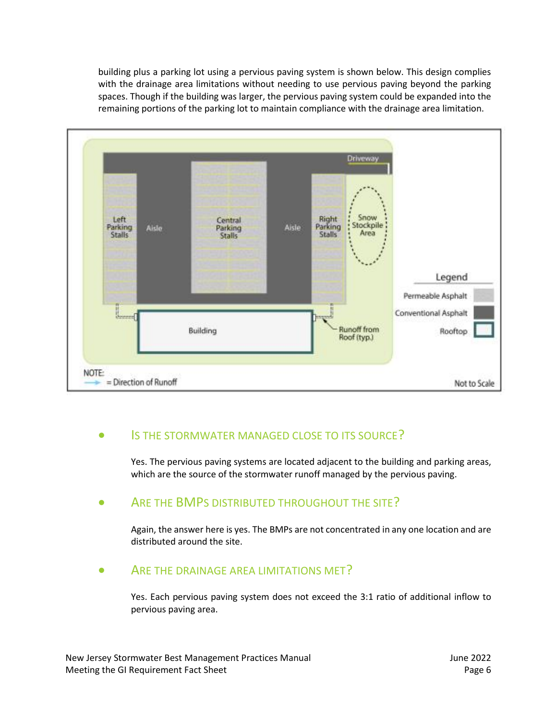building plus a parking lot using a pervious paving system is shown below. This design complies with the drainage area limitations without needing to use pervious paving beyond the parking spaces. Though if the building was larger, the pervious paving system could be expanded into the remaining portions of the parking lot to maintain compliance with the drainage area limitation.



#### • IS THE STORMWATER MANAGED CLOSE TO ITS SOURCE?

Yes. The pervious paving systems are located adjacent to the building and parking areas, which are the source of the stormwater runoff managed by the pervious paving.

#### ARE THE BMPS DISTRIBUTED THROUGHOUT THE SITE?

Again, the answer here is yes. The BMPs are not concentrated in any one location and are distributed around the site.

#### ARE THE DRAINAGE AREA LIMITATIONS MET?

Yes. Each pervious paving system does not exceed the 3:1 ratio of additional inflow to pervious paving area.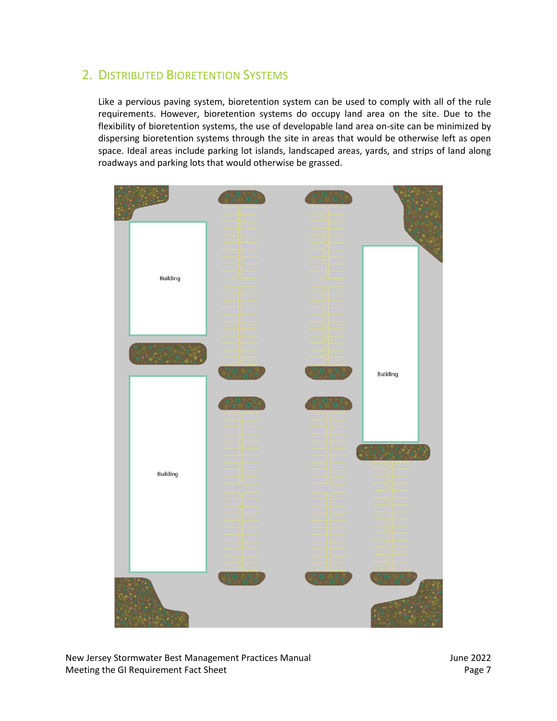# 2. DISTRIBUTED BIORETENTION SYSTEMS

Like a pervious paving system, bioretention system can be used to comply with all of the rule requirements. However, bioretention systems do occupy land area on the site. Due to the flexibility of bioretention systems, the use of developable land area on-site can be minimized by dispersing bioretention systems through the site in areas that would be otherwise left as open space. Ideal areas include parking lot islands, landscaped areas, yards, and strips of land along roadways and parking lots that would otherwise be grassed.



New Jersey Stormwater Best Management Practices Manual June 2022 Meeting the GI Requirement Fact Sheet **Page 7** and Page 7